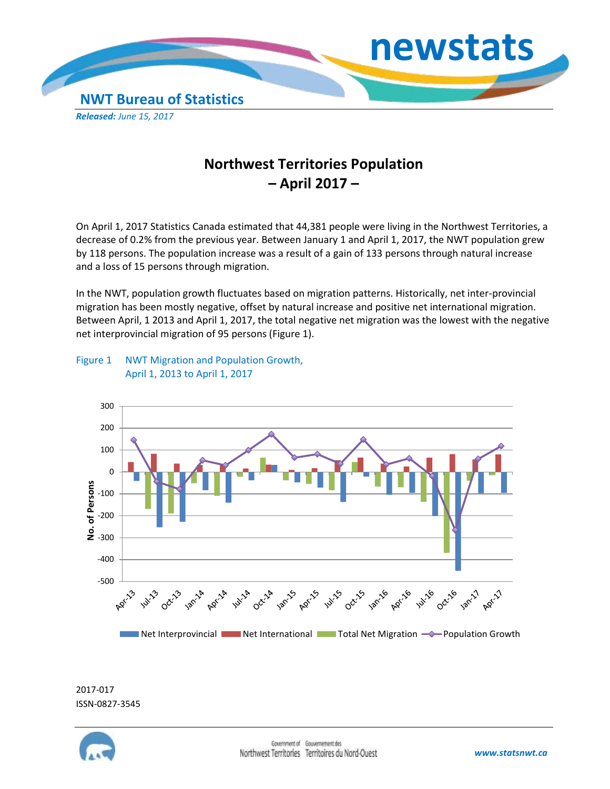

## **Northwest Territories Population – April 2017 –**

On April 1, 2017 Statistics Canada estimated that 44,381 people were living in the Northwest Territories, a decrease of 0.2% from the previous year. Between January 1 and April 1, 2017, the NWT population grew by 118 persons. The population increase was a result of a gain of 133 persons through natural increase and a loss of 15 persons through migration.

In the NWT, population growth fluctuates based on migration patterns. Historically, net inter-provincial migration has been mostly negative, offset by natural increase and positive net international migration. Between April, 1 2013 and April 1, 2017, the total negative net migration was the lowest with the negative net interprovincial migration of 95 persons (Figure 1).

## Figure 1 NWT Migration and Population Growth, April 1, 2013 to April 1, 2017



2017-017 ISSN-0827-3545

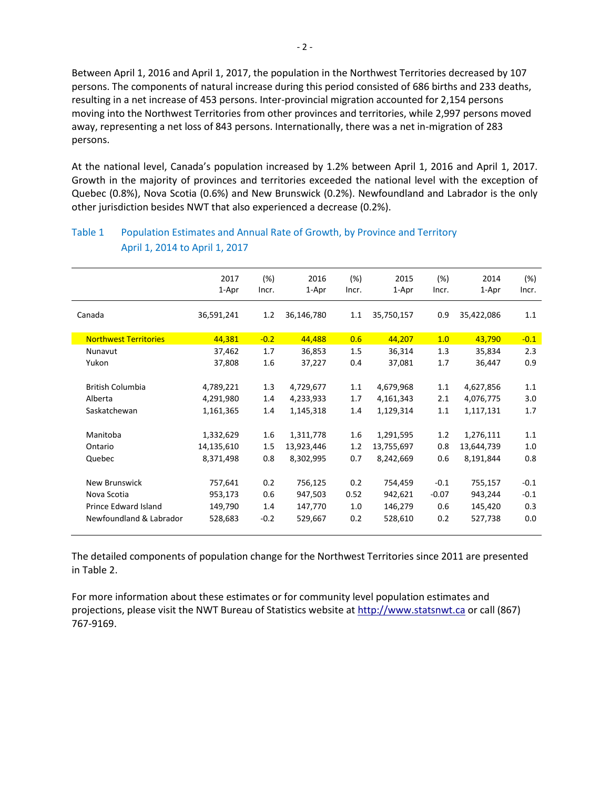Between April 1, 2016 and April 1, 2017, the population in the Northwest Territories decreased by 107 persons. The components of natural increase during this period consisted of 686 births and 233 deaths, resulting in a net increase of 453 persons. Inter-provincial migration accounted for 2,154 persons moving into the Northwest Territories from other provinces and territories, while 2,997 persons moved away, representing a net loss of 843 persons. Internationally, there was a net in-migration of 283 persons.

At the national level, Canada's population increased by 1.2% between April 1, 2016 and April 1, 2017. Growth in the majority of provinces and territories exceeded the national level with the exception of Quebec (0.8%), Nova Scotia (0.6%) and New Brunswick (0.2%). Newfoundland and Labrador is the only other jurisdiction besides NWT that also experienced a decrease (0.2%).

|                              | 2017       | (%)     | 2016       | (%)   | 2015       | (%)     | 2014       | (%)    |
|------------------------------|------------|---------|------------|-------|------------|---------|------------|--------|
|                              | 1-Apr      | Incr.   | 1-Apr      | Incr. | 1-Apr      | Incr.   | 1-Apr      | Incr.  |
| Canada                       | 36,591,241 | 1.2     | 36,146,780 | 1.1   | 35,750,157 | 0.9     | 35,422,086 | 1.1    |
|                              |            |         |            |       |            |         |            |        |
| <b>Northwest Territories</b> | 44,381     | $-0.2$  | 44,488     | 0.6   | 44,207     | 1.0     | 43,790     | $-0.1$ |
| Nunavut                      | 37,462     | 1.7     | 36,853     | 1.5   | 36,314     | 1.3     | 35,834     | 2.3    |
| Yukon                        | 37,808     | 1.6     | 37,227     | 0.4   | 37,081     | 1.7     | 36,447     | 0.9    |
|                              |            |         |            |       |            |         |            |        |
| <b>British Columbia</b>      | 4,789,221  | 1.3     | 4,729,677  | 1.1   | 4,679,968  | 1.1     | 4,627,856  | 1.1    |
| Alberta                      | 4,291,980  | 1.4     | 4,233,933  | 1.7   | 4,161,343  | 2.1     | 4,076,775  | 3.0    |
| Saskatchewan                 | 1,161,365  | 1.4     | 1,145,318  | 1.4   | 1,129,314  | 1.1     | 1,117,131  | 1.7    |
|                              |            |         |            |       |            |         |            |        |
| Manitoba                     | 1,332,629  | $1.6\,$ | 1,311,778  | 1.6   | 1,291,595  | 1.2     | 1,276,111  | 1.1    |
| Ontario                      | 14,135,610 | 1.5     | 13,923,446 | 1.2   | 13,755,697 | 0.8     | 13,644,739 | 1.0    |
| Quebec                       | 8,371,498  | 0.8     | 8,302,995  | 0.7   | 8,242,669  | 0.6     | 8,191,844  | 0.8    |
|                              |            |         |            |       |            |         |            |        |
| <b>New Brunswick</b>         | 757,641    | 0.2     | 756,125    | 0.2   | 754,459    | $-0.1$  | 755,157    | $-0.1$ |
| Nova Scotia                  | 953,173    | 0.6     | 947,503    | 0.52  | 942,621    | $-0.07$ | 943,244    | $-0.1$ |
| Prince Edward Island         | 149,790    | 1.4     | 147,770    | 1.0   | 146,279    | 0.6     | 145,420    | 0.3    |
| Newfoundland & Labrador      | 528,683    | $-0.2$  | 529,667    | 0.2   | 528,610    | 0.2     | 527,738    | 0.0    |
|                              |            |         |            |       |            |         |            |        |

## Table 1 Population Estimates and Annual Rate of Growth, by Province and Territory April 1, 2014 to April 1, 2017

The detailed components of population change for the Northwest Territories since 2011 are presented in Table 2.

For more information about these estimates or for community level population estimates and projections, please visit the NWT Bureau of Statistics website at http://www.statsnwt.ca or call (867) 767-9169.